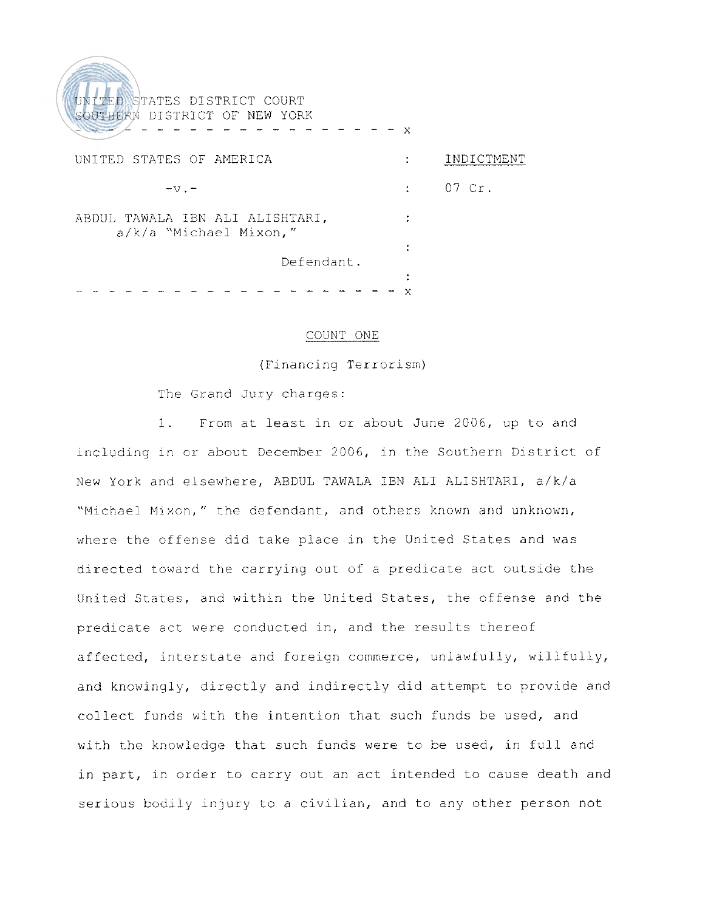UNITED STATES DISTRICT COURT SOUTHERN DISTRICT OF NEW YORK UNITED STATES OF AMERICA THE RESOLUTION OF A SERIES OF A SERIES AND INDICTMENT  $07$  Cr.  $-W =$  $\mathbf{r}$ ABDUL TAWALA IBN ALI ALISHTARI,  $\sim 10$ a/k/a "Michael Mixon," Defendant.

#### COUNT ONE

(Financing Terrorism)

The Grand Jury charges:

1. From at least in or about June 2006, up to and including in or about December 2006, in the Southern District of New York and elsewhere, ABDUL TAWALA IBN ALI ALISHTARI, a/k/a "Michael Mixon," the defendant, and others known and unknown, where the offense did take place in the United States and was directed toward the carrying out of a predicate act outside the Unit-ed States, and within the United States, the offense and the predicate act were conducted in, and the results thereof affected, interstate and foreign commerce, unlawfully, willfully, and knowingly, directly and indirectly did attempt to provide and collect funds with the intention that such funds be used, and with the knowledge that such funds were to be used, in full and in part, in order to carry out an act intended to cause death and serious bodily injury to a civilian, and to any other person not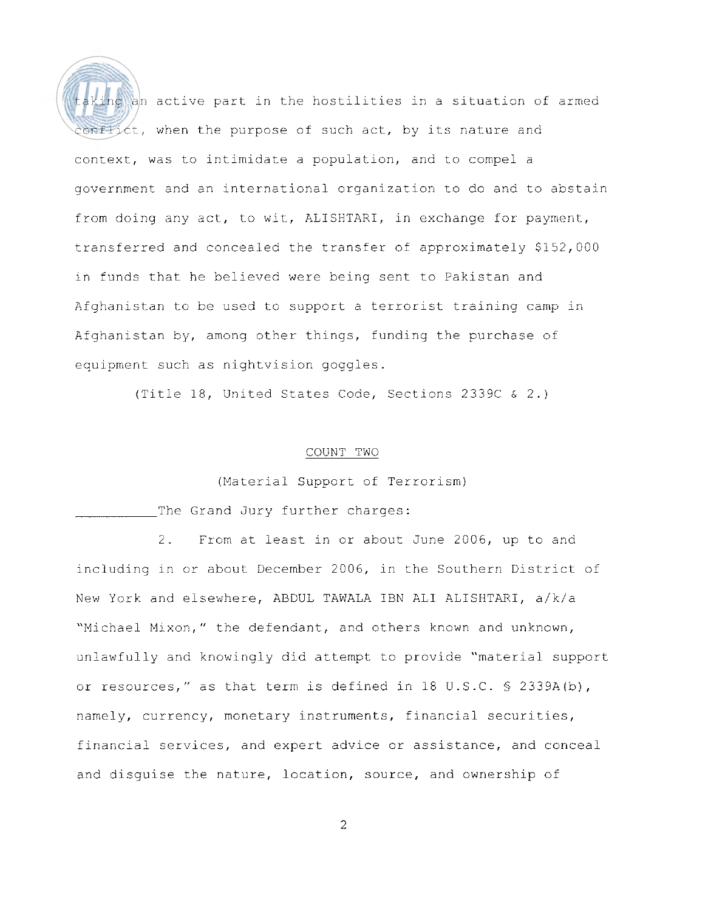

 $a$ king an active part in the hostilities in a situation of armed onflict, when the purpose of such act, by its nature and context, was to intimidate a population, and to compel a government and an international organization to do and to abstain from doing any act, to wit, ALISHTARI, in exchange for payment, transferred and concealed the transfer of approximately \$152,000 in funds that he believed were being sent to Pakistan and Afghanistan to be used to support a terrorist training camp in Afghanistan by, among other things, funding the purchase of equipment such as nightvision goggles.

(Title 18, United States Code, Sections 2339C & 2.)

## COUNT TWO

(Material Support of Terrorism)

The Grand Jury further charges:

2. From at least in or about June 2006, up to and including in or about December 2006, in the Southern District of New York and elsewhere, ABDUL TAWALA IBN ALI ALISHTARI, a/k/a "Michael Mixon," the defendant, and others known and unknown, unlawfully and knowingly did attempt to provide "material support or resources," as that term is defined in 18 U.S.C. *5* 2339A(b), namely, currency, monetary instruments, financial securities, financial services, and expert advice or assistance, and conceal and disguise the nature, location, source, and ownership of

 $\overline{2}$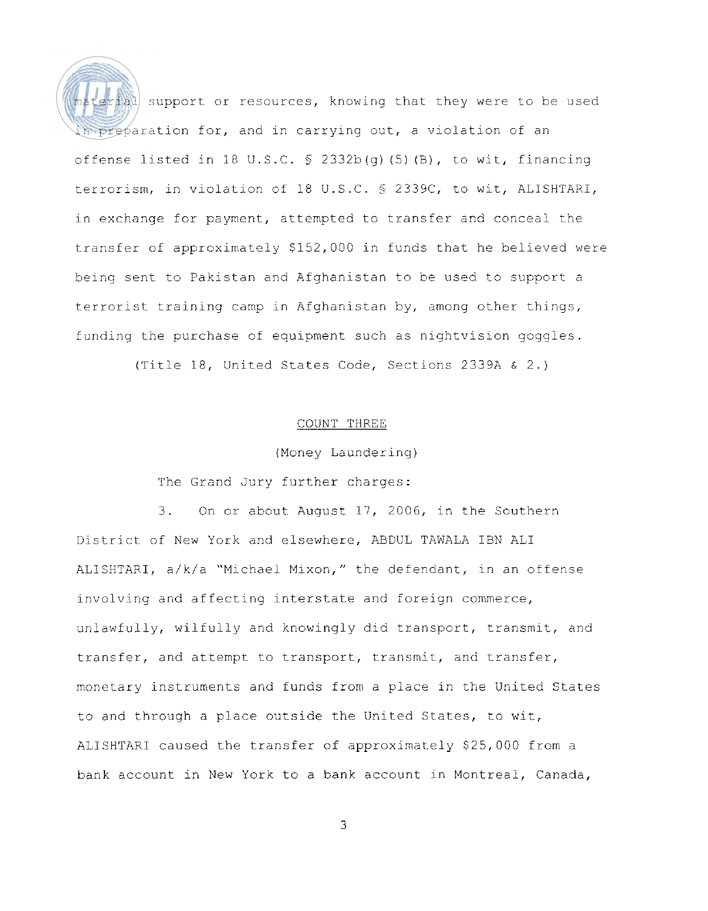terial support or resources, knowing that they were to be used in preparation for, and in carrying out, a violation of an offense listed in 18 I1.S.C. *S* 2332b(g) (5) (B), to wit, financing terrorism, in violation of 18 U.S.C. *5* 2339C, to wit, ALISHTARI, in exchange for payment, attempted to transfer and conceal the transfer of approximateiy \$152,000 in funds that he believed were being sent. to Pakistan and Afghanistan to be used to support a terrorist training camp in Afghanistan by, among other things, funding the purchase of equipment such as nightvision goggles.

(Title 18, United States Code, Sections 2339A & 2.)

### COUNT THREE

(Money Laundering)

The Grand Jury further charges:

3. On or about August 17, 2006, in the Southern District of New York and elsewhere, ABDUL TAWALA IBN ALI ALISHTARI, a/k/a "Michael Mixon," the defendant, in an offense involving and affecting interstate and foreign commerce, unlawfully, wilfully and knowingly did transport, transmit, and transfer, and attempt to transport, transmit, and transfer, monetary instruments and funds from a place in the United States to and through a place outside the United States, to wit, ALISHTARI caused the transfer of approximately \$25,000 from a bank account in New York to a bank account in Montreal, Canada,

3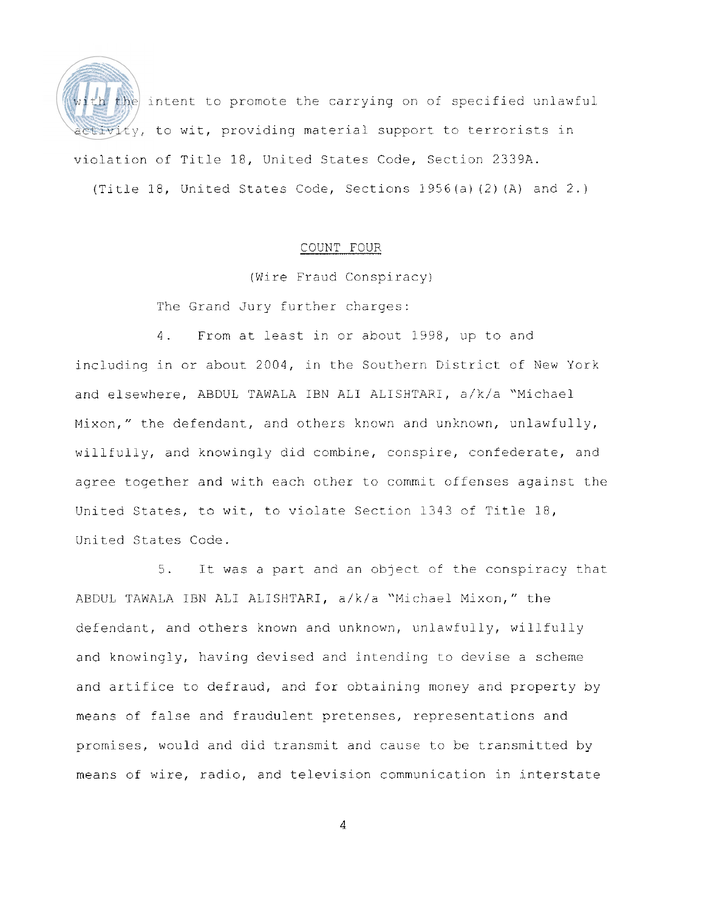

the intent to promote the carrying on of specified unlawful tivity, to wit, providing material support to terrorists in violation of Title 18, United States Code, Section 2339A. (Title 18, United States Code, Sections 1956(a) (2) (A) and 2.)

## COUNT FOUR

(Wire Fraud Conspiracy)

The Grand Jury further charges:

4. From at least in or about 1998, up to and including in or about 2004, in the Southern District of New York and elsewhere, ABDUL TAWALA IBN ALI ALISHTARI, a/k/a "Michael Mixon," the defendant, and others known and unknown, unlawfully, willfully, and knowingly did combine, conspire, confederate, and agree together and with each other to commit offenses against the United States, to wit, to violate Section 1343 of Title 18, United States Code.

5. It was a part and an object of the conspiracy that ABDUL TAWALA IBN ALI ALISHTARI, a/k/a "Michael Mixon," the defendant, and others known and unknown, unlawfully, willfully and knowingly, having devised and intending to devise a scheme and artifice to defraud, and for obtaining money and property by means of false and fraudulent pretenses, representations and promises, would and did transmit and cause to be transmitted by means of wire, radio, and television communication in interstate

4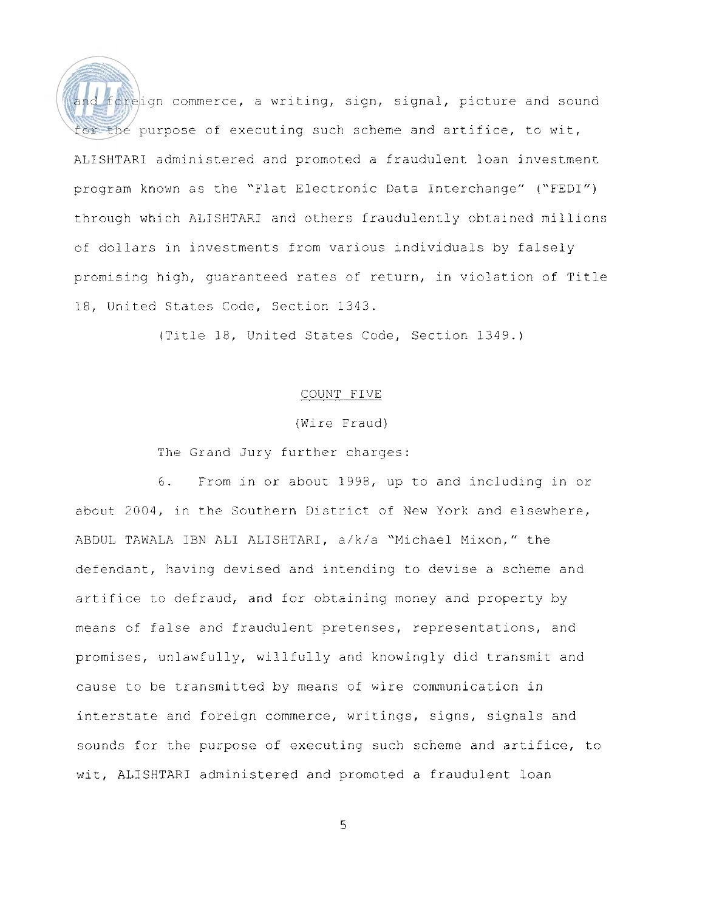and foreign commerce, a writing, sign, signal, picture and sound for the purpose of executing such scheme and artifice, to wit, ALISHTARI administered and promoted a fraudulent loan investment program known as the "Flat Electronic Data Interchange" ("FEDI") through which ALISHTARI and others fraudulently obtained millions of dollars in investments from various individuals by falsely promising high, guaranteed rates of return, in violation of Title 18, United States Code, Section 1343.

(Title 18, United States Code, Section 1349.)

## COUNT FIVE

# (Wire Fraud)

# The Grand Jury further charges:

6. From in or about 1998, up to and including in or about 2004, in the Southern District of New York and elsewhere, ABDUL TAWALA IBN ALI ALISHTARI, a/k/a "Michael Mixon," the defendant, having devised and inrending to devise a scheme and artifice to defraud, and for obtaining money and property by means of false and fraudulent pretenses, representations, and promises, unlawfully, willfully and knowingly did transmit and cause to be transmitted by means of wire communication in interstate and foreign commerce, writings, signs, signals and sounds for the purpose of executing such scheme and artifice, to wit, ALISHTARI administered and promoted a fraudulent loan

5